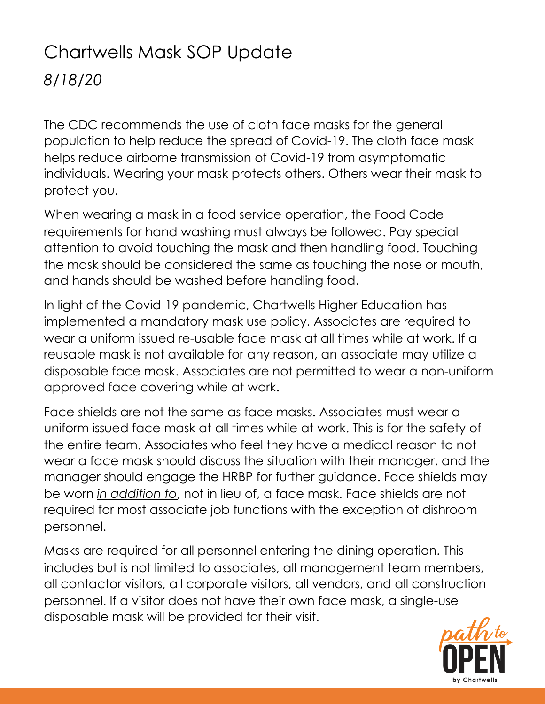# Chartwells Mask SOP Update

*8/18/20*

The CDC recommends the use of cloth face masks for the general population to help reduce the spread of Covid-19. The cloth face mask helps reduce airborne transmission of Covid-19 from asymptomatic individuals. Wearing your mask protects others. Others wear their mask to protect you.

When wearing a mask in a food service operation, the Food Code requirements for hand washing must always be followed. Pay special attention to avoid touching the mask and then handling food. Touching the mask should be considered the same as touching the nose or mouth, and hands should be washed before handling food.

In light of the Covid-19 pandemic, Chartwells Higher Education has implemented a mandatory mask use policy. Associates are required to wear a uniform issued re-usable face mask at all times while at work. If a reusable mask is not available for any reason, an associate may utilize a disposable face mask. Associates are not permitted to wear a non-uniform approved face covering while at work.

Face shields are not the same as face masks. Associates must wear a uniform issued face mask at all times while at work. This is for the safety of the entire team. Associates who feel they have a medical reason to not wear a face mask should discuss the situation with their manager, and the manager should engage the HRBP for further guidance. Face shields may be worn *in addition to*, not in lieu of, a face mask. Face shields are not required for most associate job functions with the exception of dishroom personnel.

Masks are required for all personnel entering the dining operation. This includes but is not limited to associates, all management team members, all contactor visitors, all corporate visitors, all vendors, and all construction personnel. If a visitor does not have their own face mask, a single-use disposable mask will be provided for their visit.

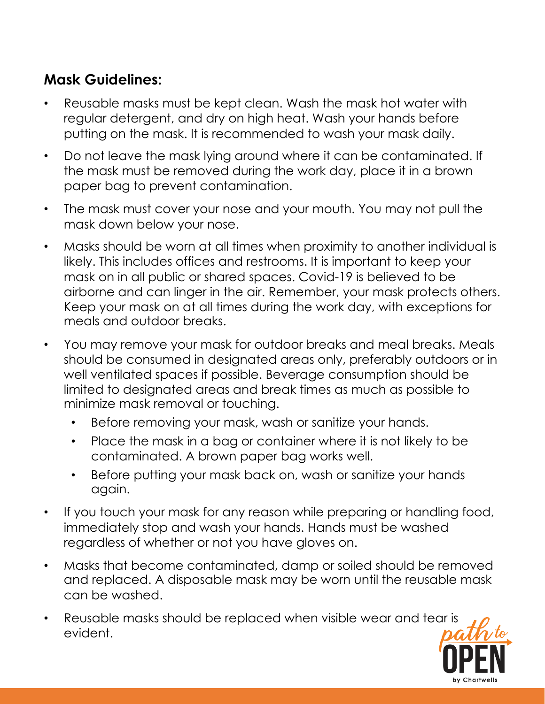## **Mask Guidelines:**

- Reusable masks must be kept clean. Wash the mask hot water with regular detergent, and dry on high heat. Wash your hands before putting on the mask. It is recommended to wash your mask daily.
- Do not leave the mask lying around where it can be contaminated. If the mask must be removed during the work day, place it in a brown paper bag to prevent contamination.
- The mask must cover your nose and your mouth. You may not pull the mask down below your nose.
- Masks should be worn at all times when proximity to another individual is likely. This includes offices and restrooms. It is important to keep your mask on in all public or shared spaces. Covid-19 is believed to be airborne and can linger in the air. Remember, your mask protects others. Keep your mask on at all times during the work day, with exceptions for meals and outdoor breaks.
- You may remove your mask for outdoor breaks and meal breaks. Meals should be consumed in designated areas only, preferably outdoors or in well ventilated spaces if possible. Beverage consumption should be limited to designated areas and break times as much as possible to minimize mask removal or touching.
	- Before removing your mask, wash or sanitize your hands.
	- Place the mask in a bag or container where it is not likely to be contaminated. A brown paper bag works well.
	- Before putting your mask back on, wash or sanitize your hands again.
- If you touch your mask for any reason while preparing or handling food, immediately stop and wash your hands. Hands must be washed regardless of whether or not you have gloves on.
- Masks that become contaminated, damp or soiled should be removed and replaced. A disposable mask may be worn until the reusable mask can be washed.
- Reusable masks should be replaced when visible wear and tear is evident.

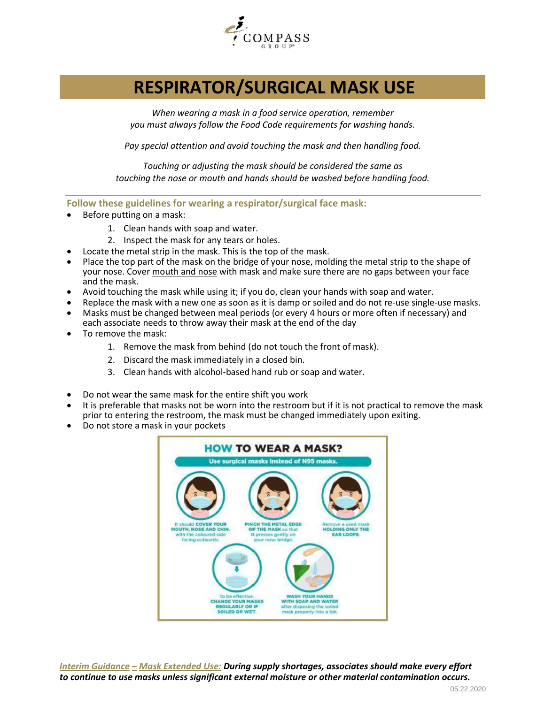

## **RESPIRATOR/SURGICAL MASK USE**

*When wearing a mask in a food service operation, remember you must always follow the Food Code requirements for washing hands.*

*Pay special attention and avoid touching the mask and then handling food.*

*Touching or adjusting the mask should be considered the same as touching the nose or mouth and hands should be washed before handling food.*

**Follow these guidelines for wearing a respirator/surgical face mask:**

- Before putting on a mask:
	- 1. Clean hands with soap and water.
	- 2. Inspect the mask for any tears or holes.
- Locate the metal strip in the mask. This is the top of the mask.
- Place the top part of the mask on the bridge of your nose, molding the metal strip to the shape of your nose. Cover mouth and nose with mask and make sure there are no gaps between your face and the mask.
- Avoid touching the mask while using it; if you do, clean your hands with soap and water.
- Replace the mask with a new one as soon as it is damp or soiled and do not re-use single-use masks.
- Masks must be changed between meal periods (or every 4 hours or more often if necessary) and each associate needs to throw away their mask at the end of the day
- To remove the mask:
	- 1. Remove the mask from behind (do not touch the front of mask).
	- 2. Discard the mask immediately in a closed bin.
	- 3. Clean hands with alcohol-based hand rub or soap and water.
- Do not wear the same mask for the entire shift you work
- It is preferable that masks not be worn into the restroom but if it is not practical to remove the mask prior to entering the restroom, the mask must be changed immediately upon exiting.
- Do not store a mask in your pockets



*Interim Guidance – Mask Extended Use: During supply shortages, associates should make every effort to continue to use masks unless significant external moisture or other material contamination occurs.*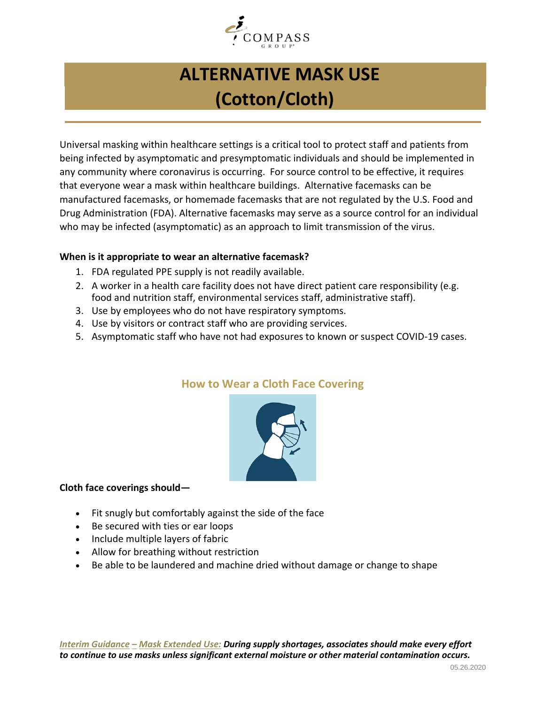

# **ALTERNATIVE MASK USE (Cotton/Cloth)**

Universal masking within healthcare settings is a critical tool to protect staff and patients from being infected by asymptomatic and presymptomatic individuals and should be implemented in any community where coronavirus is occurring. For source control to be effective, it requires that everyone wear a mask within healthcare buildings. Alternative facemasks can be manufactured facemasks, or homemade facemasks that are not regulated by the U.S. Food and Drug Administration (FDA). Alternative facemasks may serve as a source control for an individual who may be infected (asymptomatic) as an approach to limit transmission of the virus.

#### **When is it appropriate to wear an alternative facemask?**

- 1. FDA regulated PPE supply is not readily available.
- 2. A worker in a health care facility does not have direct patient care responsibility (e.g. food and nutrition staff, environmental services staff, administrative staff).
- 3. Use by employees who do not have respiratory symptoms.
- 4. Use by visitors or contract staff who are providing services.
- 5. Asymptomatic staff who have not had exposures to known or suspect COVID-19 cases.

### **How to Wear a Cloth Face Covering**



#### **Cloth face coverings should—**

- Fit snugly but comfortably against the side of the face
- Be secured with ties or ear loops
- Include multiple layers of fabric
- Allow for breathing without restriction
- Be able to be laundered and machine dried without damage or change to shape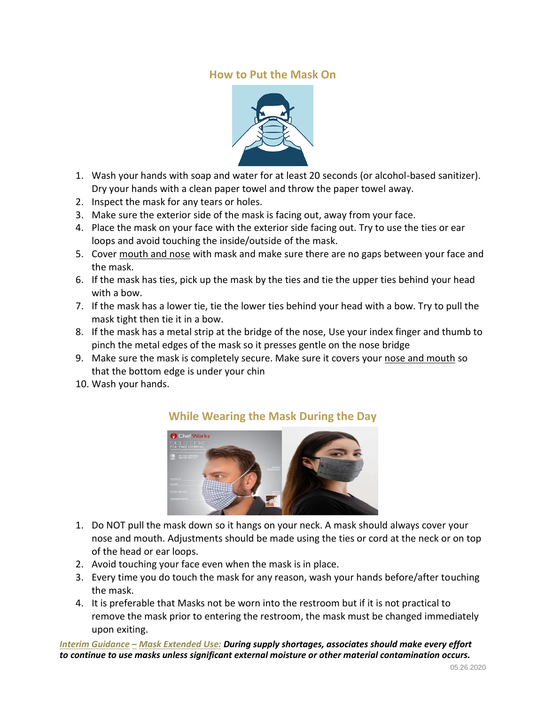### **How to Put the Mask On**



- 1. Wash your hands with soap and water for at least 20 seconds (or alcohol-based sanitizer). Dry your hands with a clean paper towel and throw the paper towel away.
- 2. Inspect the mask for any tears or holes.
- 3. Make sure the exterior side of the mask is facing out, away from your face.
- 4. Place the mask on your face with the exterior side facing out. Try to use the ties or ear loops and avoid touching the inside/outside of the mask.
- 5. Cover mouth and nose with mask and make sure there are no gaps between your face and the mask.
- 6. If the mask has ties, pick up the mask by the ties and tie the upper ties behind your head with a bow.
- 7. If the mask has a lower tie, tie the lower ties behind your head with a bow. Try to pull the mask tight then tie it in a bow.
- 8. If the mask has a metal strip at the bridge of the nose, Use your index finger and thumb to pinch the metal edges of the mask so it presses gentle on the nose bridge
- 9. Make sure the mask is completely secure. Make sure it covers your nose and mouth so that the bottom edge is under your chin
- 10. Wash your hands.



## **While Wearing the Mask During the Day**

- 1. Do NOT pull the mask down so it hangs on your neck. A mask should always cover your nose and mouth. Adjustments should be made using the ties or cord at the neck or on top of the head or ear loops.
- 2. Avoid touching your face even when the mask is in place.
- 3. Every time you do touch the mask for any reason, wash your hands before/after touching the mask.
- 4. It is preferable that Masks not be worn into the restroom but if it is not practical to remove the mask prior to entering the restroom, the mask must be changed immediately upon exiting.

*Interim Guidance – Mask Extended Use: During supply shortages, associates should make every effort to continue to use masks unless significant external moisture or other material contamination occurs.*